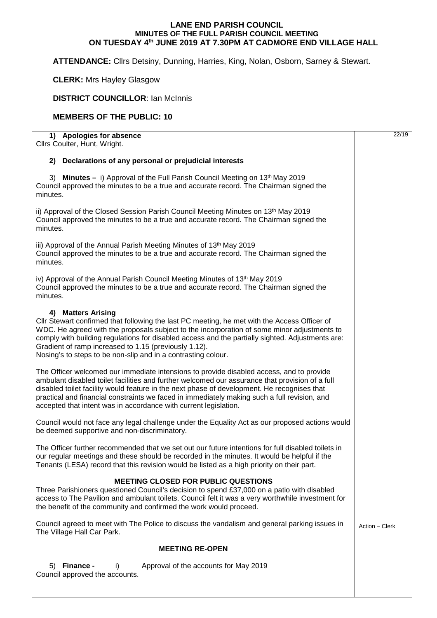## **LANE END PARISH COUNCIL MINUTES OF THE FULL PARISH COUNCIL MEETING ON TUESDAY 4th JUNE 2019 AT 7.30PM AT CADMORE END VILLAGE HALL**

**ATTENDANCE:** Cllrs Detsiny, Dunning, Harries, King, Nolan, Osborn, Sarney & Stewart.

**CLERK:** Mrs Hayley Glasgow

## **DISTRICT COUNCILLOR: Ian McInnis**

## **MEMBERS OF THE PUBLIC: 10**

| 1) Apologies for absence<br>Cllrs Coulter, Hunt, Wright.                                                                                                                                                                                                                                                                                                                                                                                                       |                |  |
|----------------------------------------------------------------------------------------------------------------------------------------------------------------------------------------------------------------------------------------------------------------------------------------------------------------------------------------------------------------------------------------------------------------------------------------------------------------|----------------|--|
| 2) Declarations of any personal or prejudicial interests                                                                                                                                                                                                                                                                                                                                                                                                       |                |  |
| 3) Minutes - i) Approval of the Full Parish Council Meeting on 13 <sup>th</sup> May 2019<br>Council approved the minutes to be a true and accurate record. The Chairman signed the<br>minutes.                                                                                                                                                                                                                                                                 |                |  |
| ii) Approval of the Closed Session Parish Council Meeting Minutes on 13 <sup>th</sup> May 2019<br>Council approved the minutes to be a true and accurate record. The Chairman signed the<br>minutes.                                                                                                                                                                                                                                                           |                |  |
| iii) Approval of the Annual Parish Meeting Minutes of 13th May 2019<br>Council approved the minutes to be a true and accurate record. The Chairman signed the<br>minutes.                                                                                                                                                                                                                                                                                      |                |  |
| iv) Approval of the Annual Parish Council Meeting Minutes of 13th May 2019<br>Council approved the minutes to be a true and accurate record. The Chairman signed the<br>minutes.                                                                                                                                                                                                                                                                               |                |  |
| 4) Matters Arising<br>Cllr Stewart confirmed that following the last PC meeting, he met with the Access Officer of<br>WDC. He agreed with the proposals subject to the incorporation of some minor adjustments to<br>comply with building regulations for disabled access and the partially sighted. Adjustments are:<br>Gradient of ramp increased to 1.15 (previously 1.12).<br>Nosing's to steps to be non-slip and in a contrasting colour.                |                |  |
| The Officer welcomed our immediate intensions to provide disabled access, and to provide<br>ambulant disabled toilet facilities and further welcomed our assurance that provision of a full<br>disabled toilet facility would feature in the next phase of development. He recognises that<br>practical and financial constraints we faced in immediately making such a full revision, and<br>accepted that intent was in accordance with current legislation. |                |  |
| Council would not face any legal challenge under the Equality Act as our proposed actions would<br>be deemed supportive and non-discriminatory.                                                                                                                                                                                                                                                                                                                |                |  |
| The Officer further recommended that we set out our future intentions for full disabled toilets in<br>our regular meetings and these should be recorded in the minutes. It would be helpful if the<br>Tenants (LESA) record that this revision would be listed as a high priority on their part.                                                                                                                                                               |                |  |
| <b>MEETING CLOSED FOR PUBLIC QUESTIONS</b><br>Three Parishioners questioned Council's decision to spend £37,000 on a patio with disabled<br>access to The Pavilion and ambulant toilets. Council felt it was a very worthwhile investment for<br>the benefit of the community and confirmed the work would proceed.                                                                                                                                            |                |  |
| Council agreed to meet with The Police to discuss the vandalism and general parking issues in<br>The Village Hall Car Park.                                                                                                                                                                                                                                                                                                                                    | Action - Clerk |  |
| <b>MEETING RE-OPEN</b>                                                                                                                                                                                                                                                                                                                                                                                                                                         |                |  |
| 5) Finance -<br>Approval of the accounts for May 2019<br>i)<br>Council approved the accounts.                                                                                                                                                                                                                                                                                                                                                                  |                |  |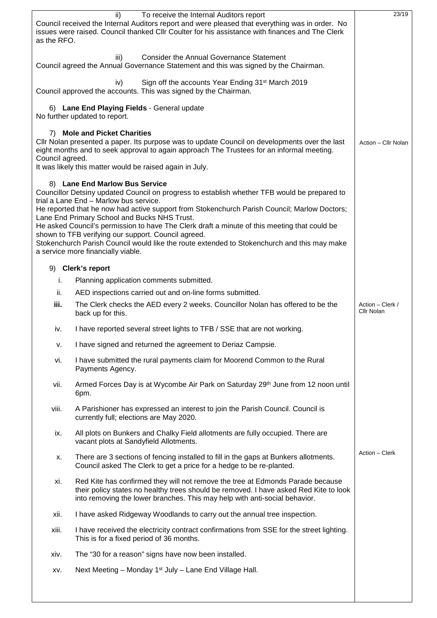|                                                                                                                                                                                                                                                                                                                     | ii)<br>To receive the Internal Auditors report                                                                                                                                                                                                        | 23/19                          |
|---------------------------------------------------------------------------------------------------------------------------------------------------------------------------------------------------------------------------------------------------------------------------------------------------------------------|-------------------------------------------------------------------------------------------------------------------------------------------------------------------------------------------------------------------------------------------------------|--------------------------------|
| as the RFO.                                                                                                                                                                                                                                                                                                         | Council received the Internal Auditors report and were pleased that everything was in order. No<br>issues were raised. Council thanked Cllr Coulter for his assistance with finances and The Clerk                                                    |                                |
|                                                                                                                                                                                                                                                                                                                     | <b>Consider the Annual Governance Statement</b><br>iii)<br>Council agreed the Annual Governance Statement and this was signed by the Chairman.                                                                                                        |                                |
|                                                                                                                                                                                                                                                                                                                     | Sign off the accounts Year Ending 31 <sup>st</sup> March 2019<br>iv)<br>Council approved the accounts. This was signed by the Chairman.                                                                                                               |                                |
|                                                                                                                                                                                                                                                                                                                     | 6) Lane End Playing Fields - General update<br>No further updated to report.                                                                                                                                                                          |                                |
| <b>Mole and Picket Charities</b><br>7)<br>Cllr Nolan presented a paper. Its purpose was to update Council on developments over the last<br>eight months and to seek approval to again approach The Trustees for an informal meeting.<br>Council agreed.<br>It was likely this matter would be raised again in July. |                                                                                                                                                                                                                                                       |                                |
|                                                                                                                                                                                                                                                                                                                     |                                                                                                                                                                                                                                                       |                                |
|                                                                                                                                                                                                                                                                                                                     | 8) Lane End Marlow Bus Service<br>Councillor Detsiny updated Council on progress to establish whether TFB would be prepared to<br>trial a Lane End - Marlow bus service.                                                                              |                                |
|                                                                                                                                                                                                                                                                                                                     | He reported that he now had active support from Stokenchurch Parish Council; Marlow Doctors;                                                                                                                                                          |                                |
|                                                                                                                                                                                                                                                                                                                     | Lane End Primary School and Bucks NHS Trust.<br>He asked Council's permission to have The Clerk draft a minute of this meeting that could be<br>shown to TFB verifying our support. Council agreed.                                                   |                                |
|                                                                                                                                                                                                                                                                                                                     | Stokenchurch Parish Council would like the route extended to Stokenchurch and this may make<br>a service more financially viable.                                                                                                                     |                                |
|                                                                                                                                                                                                                                                                                                                     | 9) Clerk's report                                                                                                                                                                                                                                     |                                |
| i.                                                                                                                                                                                                                                                                                                                  | Planning application comments submitted.                                                                                                                                                                                                              |                                |
| ii.                                                                                                                                                                                                                                                                                                                 | AED inspections carried out and on-line forms submitted.                                                                                                                                                                                              |                                |
| iii.                                                                                                                                                                                                                                                                                                                | The Clerk checks the AED every 2 weeks. Councillor Nolan has offered to be the<br>back up for this.                                                                                                                                                   | Action - Clerk /<br>Cllr Nolan |
| iv.                                                                                                                                                                                                                                                                                                                 | I have reported several street lights to TFB / SSE that are not working.                                                                                                                                                                              |                                |
| v.                                                                                                                                                                                                                                                                                                                  | I have signed and returned the agreement to Deriaz Campsie.                                                                                                                                                                                           |                                |
| vi.                                                                                                                                                                                                                                                                                                                 | I have submitted the rural payments claim for Moorend Common to the Rural<br>Payments Agency.                                                                                                                                                         |                                |
| vii.                                                                                                                                                                                                                                                                                                                | Armed Forces Day is at Wycombe Air Park on Saturday 29th June from 12 noon until<br>6pm.                                                                                                                                                              |                                |
| viii.                                                                                                                                                                                                                                                                                                               | A Parishioner has expressed an interest to join the Parish Council. Council is<br>currently full; elections are May 2020.                                                                                                                             |                                |
| ix.                                                                                                                                                                                                                                                                                                                 | All plots on Bunkers and Chalky Field allotments are fully occupied. There are<br>vacant plots at Sandyfield Allotments.                                                                                                                              |                                |
| Х.                                                                                                                                                                                                                                                                                                                  | There are 3 sections of fencing installed to fill in the gaps at Bunkers allotments.<br>Council asked The Clerk to get a price for a hedge to be re-planted.                                                                                          | Action - Clerk                 |
| xi.                                                                                                                                                                                                                                                                                                                 | Red Kite has confirmed they will not remove the tree at Edmonds Parade because<br>their policy states no healthy trees should be removed. I have asked Red Kite to look<br>into removing the lower branches. This may help with anti-social behavior. |                                |
| xii.                                                                                                                                                                                                                                                                                                                | I have asked Ridgeway Woodlands to carry out the annual tree inspection.                                                                                                                                                                              |                                |
| xiii.                                                                                                                                                                                                                                                                                                               | I have received the electricity contract confirmations from SSE for the street lighting.<br>This is for a fixed period of 36 months.                                                                                                                  |                                |
| xiv.                                                                                                                                                                                                                                                                                                                | The "30 for a reason" signs have now been installed.                                                                                                                                                                                                  |                                |
| XV.                                                                                                                                                                                                                                                                                                                 | Next Meeting - Monday 1 <sup>st</sup> July - Lane End Village Hall.                                                                                                                                                                                   |                                |
|                                                                                                                                                                                                                                                                                                                     |                                                                                                                                                                                                                                                       |                                |